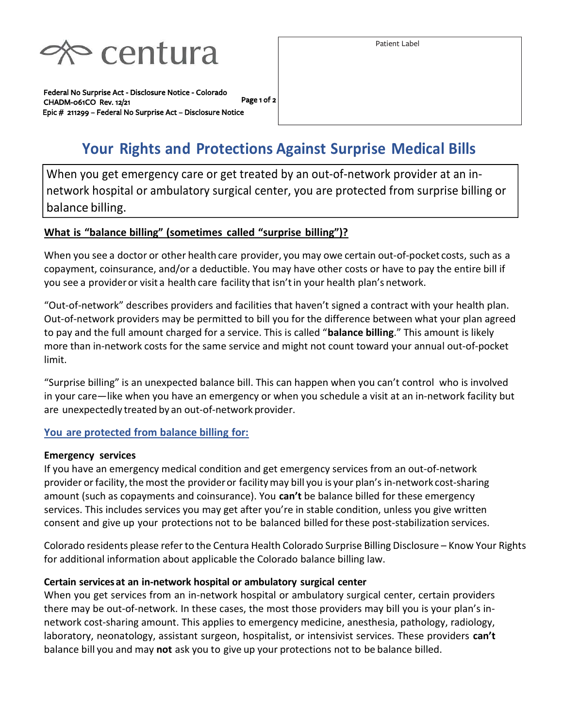

Page 1 of 2 Federal No Surprise Act - Disclosure Notice - Colorado CHADM-061CO Rev. 12/21 Epic # 211299 – Federal No Surprise Act – Disclosure Notice

Patient Label

# Your Rights and Protections Against Surprise Medical Bills

When you get emergency care or get treated by an out-of-network provider at an innetwork hospital or ambulatory surgical center, you are protected from surprise billing or balance billing.

#### What is "balance billing" (sometimes called "surprise billing")?

When you see a doctor or other health care provider, you may owe certain out-of-pocket costs, such as a copayment, coinsurance, and/or a deductible. You may have other costs or have to pay the entire bill if you see a provider or visit a health care facility that isn't in your health plan's network.

"Out-of-network" describes providers and facilities that haven't signed a contract with your health plan. Out-of-network providers may be permitted to bill you for the difference between what your plan agreed to pay and the full amount charged for a service. This is called "balance billing." This amount is likely more than in-network costs for the same service and might not count toward your annual out-of-pocket limit.

"Surprise billing" is an unexpected balance bill. This can happen when you can't control who is involved in your care—like when you have an emergency or when you schedule a visit at an in-network facility but are unexpectedly treated by an out-of-network provider.

#### You are protected from balance billing for:

#### Emergency services

If you have an emergency medical condition and get emergency services from an out-of-network provider or facility, the most the provider or facility may bill you is your plan's in-network cost-sharing amount (such as copayments and coinsurance). You can't be balance billed for these emergency services. This includes services you may get after you're in stable condition, unless you give written consent and give up your protections not to be balanced billed for these post-stabilization services.

Colorado residents please refer to the Centura Health Colorado Surprise Billing Disclosure – Know Your Rights for additional information about applicable the Colorado balance billing law.

#### Certain services at an in-network hospital or ambulatory surgical center

When you get services from an in-network hospital or ambulatory surgical center, certain providers there may be out-of-network. In these cases, the most those providers may bill you is your plan's innetwork cost-sharing amount. This applies to emergency medicine, anesthesia, pathology, radiology, laboratory, neonatology, assistant surgeon, hospitalist, or intensivist services. These providers can't balance bill you and may not ask you to give up your protections not to be balance billed.